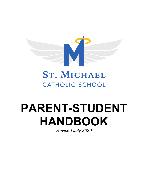

# **PARENT-STUDENT HANDBOOK**

*Revised July 2020*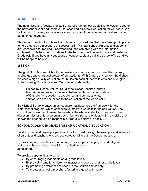#### **INTRODUCTION**

The administration, faculty, and staff of St. Michael School would like to welcome you to the new school year and thank you for choosing a Catholic education for your child. We look forward to a very successful year and your continued cooperation and support on behalf of our students.

This school handbook contains the policies and procedures that have been put in place to help create an atmosphere of success at St. Michael School. Parents and students are responsible for reading, understanding, and complying with the information contained in this handbook. Updates to the handbook will be sent home and posted on Gradelock. If you have any questions or concerns, please call the school office and we will be happy to help you.

#### **MISSION**

The goal of St. Michael School is to create a community that promotes the spiritual, intellectual, and emotional growth of our students. With Christ as its center, St. Michael provides a high-quality education that builds on each student's talents and strengths, while fostering Christian values. Our mission statement,

Guided by Gospel values, St. Michael School inspires today's learners to embrace tomorrow's challenges through a foundation of Catholic faith, academic excellence, and compassionate service. We are committed to the education of the whole child.

St. Michael School creates an atmosphere that becomes the framework for the instructional program, which continues to integrate Catholic truths and values. The curriculum is designed to meet the needs of the whole student and help each one discovers his/her unique potentials as a Catholic person, while attaining the skills and knowledge needed to be a responsible, productive citizen in society.

#### **SCHOOL GOALS AND OBJECTIVES OF A CATHOLIC EDUCATION**

To strengthen and develop a personal love for Christ through the example and influence of parents and teachers who are dedicated to living out the Gospel message.

By providing opportunities for community worship, personal prayer, and religious instruction through day-to-day living in a God-centered atmosphere.

To provide opportunities to serve

- By encouraging leadership on all grade levels
- By providing time for children to interact with peers and other grade levels
- By promoting awareness of needs in the Church and society
- To create a school atmosphere fostering a good self-image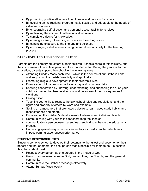- By promoting positive attitudes of helpfulness and concern for others
- By evolving an instructional program that is flexible and adaptable to the needs of individual students
- By encouraging self-direction and personal accountability for choices
- By motivating the children to utilize individual talents
- To stimulate a desire for knowledge:
- By offering a variety of learning activities and teaching styles
- By continuing exposure to the fine arts and sciences
- By encouraging initiative in assuming personal responsibility for the learning process

#### **PARENTS/GUARDIANS RESPONSIBILITIES**

Parents are the primary educators of their children. Schools share in this ministry, but the involvement of parents is paramount and fundamental. During the years of formal education, parents support the school in the following ways:

- Attending Sunday Mass each week, which is the source of our Catholic Faith, and supporting the parish financially and spiritually
- Promoting religious development in their children's lives
- Ensure your child attends school every day and is on time daily
- Showing cooperation by knowing, understanding, and supporting the rules your child is expected to observe at school and be aware of the consequences for violations
- Paying tuition
- Teaching your child to respect the law, school rules and regulations, and the rights and property of others by word and example
- Setting an atmosphere that promotes a desire to learn, good study habits, and respect for self and others
- Encouraging the children's development of interests and individual talents
- Communicating with your child's teacher; keep the lines of
- communication open between parent/teacher/child to enhance the educational process
- Conveying special/unique circumstances to your child's teacher which may impact learning experiences/performance

#### **STUDENT RESPONSIBILITIES**

Students come to school to develop their potential to the fullest and become, for their benefit and that of others, the best person that is possible for them to be. To achieve this, the student must:

- Respect every person as one created in the image of God
- Grow in commitment to serve God, one another, the Church, and the general community
- Communicate the Catholic message effectively
- Attend Sunday Mass weekly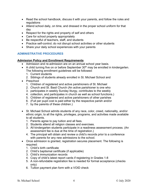- Read the school handbook, discuss it with your parents, and follow the rules and regulations
- Attend school daily, on time, and dressed in the proper school uniform for that day
- Respect for the rights and property of self and others
- Care for school property appropriately
- Be respectful of teachers, staff, and students
- Practice self-control; do not disrupt school activities or other students
- Share your daily school experiences with your parents

# **ADMINISTRATIVE PROCEDURES**

#### **Admission Policy and Enrollment Requirements**

- Admission and re-admission are on an annual school year basis.
- A child turning five on or before September  $30<sup>th</sup>$  may be enrolled in kindergarten. The following enrollment guidelines will be followed:
	- 1. Current students
	- 2. Siblings of students already enrolled in St. Michael School and
- Preschool
	- 1. Children of registered and active parishioners of St. Michael
	- 2. Church and St. Basil Church (An active parishioner is one who
	- 3. participates in weekly Sunday liturgy, contributes to the weekly
	- 4. collection, and participates in church as well as school functions.)
	- 5. Children of registered and active parishioners of other parishes
	- 6. (Full per pupil cost is paid either by the respective parish and/or
	- 7. by the parents of these children.)
- St. Michael School admits students of any race, color, creed, nationality, and/or ethnic origin, to all the rights, privileges, programs, and activities made available to all students.
	- 1. Parents agree to pay tuition and all fees.
	- 2. Students attend all religion classes and exercises.
	- 3. All kindergarten students participate in a readiness assessment process. (An assessment fee is due at the time of registration.)
	- 4. The principal will obtain and review a child's records prior to a conference with parents for any new admissions to the school.
- Once admission is granted, registration secures placement. The following is required:
	- 1. Child's birth certificate
	- 2. Child's baptismal certificate (if applicable)
	- 3. Child's immunization records
	- 4. Copy of child's latest report cards if registering in Grades 1-8
	- 5. A non-refundable registration fee is needed for formal acceptance (checks only)
	- 6. Tuition payment plan form with a VOID check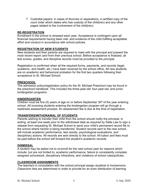7. Custodial papers: in cases of divorces or separations, a certified copy of the court order which states who has custody of the child(ren) and any other pages related to the involvement of the child(ren)

# **RE-REGISTRATION**

Enrollment in the school is renewed each year. Acceptance is contingent upon all financial requirements having been met, and evidence of the child fulfilling acceptable effort and conduct in accordance with school policies.

# **REGISTRATION OF NEW STUDENTS**

New students and their parents are required to meet with the principal and present the most recent report card from their previous school. Before acceptance is finalized, all test scores, grades, and discipline records must be provided to the principal.

Registration is confirmed when all the required forms, payments, and records (legal, academic, and health, etc.) have been received by the school office. All new students are on academic and behavioral probation for the first two quarters following their acceptance to St. Michael School.

#### **PRESCHOOL**

The admission policy/registration policy for the St. Michael Preschool may be found in the preschool handbook. This includes the three-year-old, four-year-old, and junior kindergarten programs.

#### **KINDERGARTEN**

Children must be five (5) years of age on or before September  $30<sup>th</sup>$  of the year entering school. All incoming students entering the kindergarten program will go through a readiness assessment process. An assessment fee is due at the time of registration.

# **TRANSFERS/WITHDRAWAL OF STUDENTS**

Parents wishing to transfer their child from the school should notify the principal, in writing, at least one week prior to the withdrawal date as required by State Law to sign a release form requesting St. Michael School to send your child's permanent record file to the school where he/she is being transferred. Student records sent to the new school will include academic performance, test results, psychological evaluations, and disciplinary actions. All records are sent directly to the school. All tuition and fees must be paid before the school will forward the student's academic records.

#### **DISMISSAL**

A student may be asked not to re-enroll for the next school year for reasons which include, but are not limited to, academic performance, failure to consistently complete assigned schoolwork, disciplinary infractions, and violations of school rules/policies.

#### **CLASSROOM ASSIGNMENTS**

The teachers in consultation with the school principal assign students to homerooms. Classroom lists are determined in order to provide for an even distribution of learning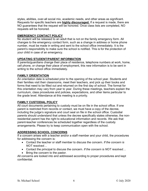styles, abilities, over-all social mix, academic needs, and other areas as significant. Requests for specific teachers are **highly discouraged.** If a request is made, there are NO guarantees that the request will be honored. Once class lists are completed, NO requests will be honored.

# **EMERGENCY CONTACT POLICY**

No student will be released to an adult that is not on the family emergency form. All changes to the emergency contact form, such as a change in address or home phone number, must be made in writing and sent to the school office immediately. It is the parent's responsibility to make sure the school is notified. This is for the protection of your child in case of an emergency.

#### **UPDATING STUDENT/PARENT INFORMATION**

If parents/guardians change their place of residence, telephone numbers at work, home, cell phone, or change their place of employment, this new information is to be sent in writing to the school office immediately.

#### **FAMILY ORIENTATION**

An orientation date is scheduled prior to the opening of the school year. Students and their families visit their classrooms, meet their teachers, and pick up their books and forms that need to be filled out and returned on the first day of school. The format for this orientation may vary from year to year. During these meetings, teachers explain the curriculum, class procedures and policies, expectations, and other items particular to the grade level. Attendance at this meeting is a priority.

# **FAMILY CUSTODIAL POLICY**

All court documents pertaining to custody must be on file in the school office. If one parent is restricted from records or contact, we must have a copy of the decree, including the judge's signature and court seal on file in the school office. Custodial parents should understand that unless the decree specifically states otherwise, the nonresidential parent has the right to educational information and records. We ask that parent-teacher conferences be scheduled together regardless of the custody arrangements. Please try to keep communication open with the school.

# **ADDRESSING SCHOOL CONCERNS**

If a concern arises with a teacher and/or a staff member and your child, the procedures for addressing the concern is:

- Contact the teacher or staff member to discuss the concern*. If the concern is NOT resolved…*
- Contact the principal to discuss the concern. *If the concern is NOT resolved…*
- Bring the concern to the pastor.

All concerns are looked into and addressed according to proper procedures and kept confidential.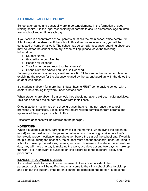# **ATTENDANCE/ABSENCE POLICY**

School attendance and punctuality are important elements in the formation of good lifelong habits. It is the legal responsibility of parents to assure elementary-age children are in school and on time each day.

If your child is absent from school, parents must call the main school office before 9:00 A.M. to report the absence. If the school office does not receive a call, you will be contacted at home or at work. The school has voicemail; messages regarding absences may be left for the school secretary. When calling, please leave the following information:

- Student Name
- Grade/Homeroom Number
- Reason for Absence
- Your Name (person reporting the absence)
- Phone Number Where You Can Be Reached

Following a student's absence, a written note **MUST** be sent to the homeroom teacher explaining the reason for the absence, signed by the parent/guardian, with the dates the student was absent.

If a student is absent for more than 5 days, he/she **MUST** come back to school with a doctor's note stating they were under doctor's care.

When students are absent from school, they should not attend extracurricular activities. This does not help the student recover from their illness.

Once a student has arrived on school grounds, he/she may not leave the school premises until dismissal. Exceptions will require written permission from parents and approval of the principal or school office.

Excessive absences will be referred to the principal.

#### **HOMEWORK**

When a student is absent, parents may call in the morning (when giving the absentee report) and request work to be picked up after school. If a sibling is taking another's homework, proper notification must be given before the start of the school day. If work is not picked up during the absence, the student must see the teacher(s) upon returning to school to make up missed assignments, tests, and homework. If a student is absent one day, they will have one day to make up the work; two days absent, two days to make up the work, etc. Homework is available on-line according to the teachers' policy and procedures.

# **ILLNESS/PROLONGED ILLNESS**

If a student needs to be sent home because of illness or an accident, the parents/guardians will be notified and must come to the clinic/school office to pick up and sign out the student. If the parents cannot be contacted, the person listed as the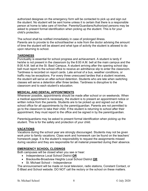authorized designee on the emergency form will be contacted to pick up and sign out the student. No student will be sent home unless it is certain that there is a responsible person at home to take care of him/her. Parents/Guardians/Authorized persons may be asked to present formal identification when picking up the student. This is for your child's protection.

The school shall be notified immediately in case of prolonged illness. Parents are to provide to the school/teacher a note from the doctor advising the amount of time the student will be absent and what type of activity the student is allowed to do upon returning to school.

# **TARDINESS**

Punctuality is essential for school progress and achievement. A student is tardy if he/she is not present in the classroom by the 8:00 A.M. bell at the main campus and the 8:00 A.M. bell at the St. Basil Campus. A student arriving after the opening school day bell must report to the school office to receive an admittance slip to enter the classroom. Tardiness is recorded on report cards. Late arrival of a bus, weather conditions, or traffic may be exceptions. For every three unexcused tardies that a student receives, the student will serve an after-school detention. Students who are late when switching classes will serve a detention after three tardies. Tardiness is disruptive to the classroom and to each student's education.

#### **MEDICAL AND DENTAL APPOINTMENTS**

Whenever possible, appointments should be made after school or on weekends. When a medical appointment is necessary, the student is to present an appointment notice or written notice from the parents. Students are to be picked up and signed out at the school office for all appointments by the parent/guardian. Parents are not permitted to go to the classroom to take their child. If the student is returning to school after their appointment, they must report to the office and be signed in by the parent/guardian.

Parents/guardians may be asked to present formal identification when picking up the student. This is for the safety and protection of your child.

#### **VACATIONS**

Vacations during the school year are strongly discouraged. Students may not be given work prior to family vacations. Class work and homework can be found on the teachers' homework page. It is the student's responsibility to request the assignments missed during vacation and they are responsible for all material presented during their absence.

# **EMERGENCY SCHOOL CLOSINGS**

Both campuses will be closed when you see or hear:

- Independence Local School District **OR**
- Brecksville-Broadview Heights Local School District **OR**
- St. Michael School Independence

The announcement will be made on local television, radio stations, Constant Contact, or E-Blast and School website. DO NOT call the rectory or the school on these matters.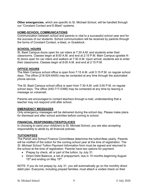**Other emergencies**, which are specific to St. Michael School, will be handled through our "Constant Contact and E-Blast" systems.

#### **HOME-SCHOOL COMMUNICATIONS**

Communication between school and parents is vital to a successful school year and for the success of our students. School communication will be received by parents through the forms of Constant Contact, e-blast, or Gradelock.

#### **SCHOOL HOURS**

St. Basil Campus doors open for car riders at 7:30 A.M. and students enter their classrooms. Classes begin at 8:00 A.M. and end at 2:15 P.M. Main Campus (grades K-8) doors open for car riders and walkers at 7:30 A.M. Upon arrival, students are to enter their classrooms. Classes begin at 8:00 A.M. and end at 2:15 P.M.

#### **OFFICE HOURS**

The Main Campus school office is open from 7:15 A.M. until 3:15 P.M. on regular school days. The office (216-524-6405) may be contacted at any time through the automated phone service.

The St. Basil Campus school office is open from 7:30 A.M. until 3:00 P.M. on regular school days. The office (440-717-0398) may be contacted at any time by leaving a message on voicemail.

Parents are encouraged to contact teachers through e-mail, understanding that a teacher may not respond until after school.

#### **EMERGENCY MESSAGES**

Only emergency messages will be delivered during the school day. Please make plans for dismissal and after school activities before coming to school.

# **FINANCIAL RESPONSIBILITIES/POLICIES**

In choosing to send your child(ren) to St. Michael School, you are also accepting responsibility to abide by all financial policies.

#### **TUITION/FEES**

The Parish and School Finance Committees determine the tuition/fees yearly. Parents will be notified of the tuition for the coming school year at the time of registration. The *St. Michael School Tuition Payment Information* form must be signed and returned to the school at the time of registration. Parents have two options for payment:

- Prepay by check, all or part of the tuition, by July 31
- Direct Debt Balance, a net of prepayment, due in 10 months beginning August 15<sup>th</sup> and ending on May 15<sup>th</sup>.

NOTE: If you do not prepay by July 31, you will automatically go on the monthly direct debit plan. Everyone, including prepaid families, must attach a voided check on their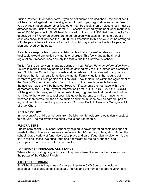Tuition Payment Information form. If you do not submit a voided check, the direct debit will be charged against the checking account used to pay registration and other fees. If you pay registration and/or other fees other than by check, then a voided check must be attached to the Tuition Payment form. NSF checks returned by the bank shall result in a fee of \$30.00 per check. St. Michael School will not resubmit NSF/Returned checks for deposit. All NSF returned checks are to be replaced with cash, a money order, or a cashier's check that includes the \$30.00 fee. Exceptions to this policy must be arranged with the pastor before the start of school. No child may start school without a payment plan approved by the pastor.

Parents are responsible to pay a registration fee that is non-refundable and nonapplicable toward any tuition payments or charges. This fee is due at the time of registration. Preschool has a supply fee that is due the first week of school.

Tuition for the school year is due as outlined in your *Tuition Payment Information Form*. Failure to make tuition payments on time as defined may result in immediate dismissal from St. Michael School. Report cards and records will not be released to any family or institution that is in arrears for tuition payments. Family situations that require both parents to pay their own portion of tuition MUST pay their tuition within the agreement of the *Tuition Payment Information Form*. It is up to the parents to settle between themselves how this will be handled. However, if payments are not made within the agreement of the Tuition Payment Information Form, NO REPORT CARD/RECORDS will be given to families, sent to other institutions, or guarantee that the student will be admitted to the following school year. It is up to the parents to make arrangements between themselves, but the school tuition and fines must be paid as agreed upon at registration. Please direct any questions to Christine Dockrill, Business Manager at St. Michael Church.

# **REFUND POLICY**

In the event of a child's withdrawal from St. Michael School, pro-rated tuition is subject to a refund. The registration fee/supply fee is non-refundable.

#### **FUNDRAISERS**

Fundraisers assist St. Michael School by helping to cover operating costs and special needs for the school (such as new computers, ACTIVboards, printers, etc.). During the school year, a variety of fundraisers take place and parent/guardian involvement is the key to their success. We encourage and appreciate all the help, support, and participation that we receive from our families.

#### **PARISHIONER FINANCIAL ASSISTANCE**

When a family is struggling with tuition, they are advised to discuss their situation with the pastor of St. Michael Parish.

# **ATHLETIC PROGRAM**

St. Michael students in grades 4-8 may participate in CYO Sports that include basketball, volleyball, softball, baseball. Interest and the number of parent volunteers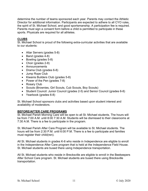determine the number of teams sponsored each year. Parents may contact the Athletic Director for additional information. Participants are expected to adhere to all CYO rules, the spirit of St. Michael School, and good sportsmanship. A participation fee is required. Parents must sign a consent form before a child is permitted to participate in these sports. Physicals are required for all athletes.

#### **CLUBS**

St. Michael School is proud of the following extra-curricular activities that are available to our students:

- Altar Servers (grades 5-8)
- Band (grades 4-8)
- Bowling (grades 5-8)
- Choir (grades 2-8)
- Announcements
- Drama Club (grades 6-8)
- Jump Rope Club
- Kiwanis Builders Club (grades 5-8)
- Power of the Pen (grades 7-8)
- Rosary Club
- Scouts (Brownies, Girl Scouts, Cub Scouts, Boy Scouts)
- Student Council: Junior Council (grades 2-5) and Senior Council (grades 6-8)
- Yearbook (grades 6-8)

St. Michael School sponsors clubs and activities based upon student interest and availability of moderators.

#### **BEFORE/AFTER CARE PROGRAMS**

St. Michael Parish Morning Care will be open to all St. Michael students. The hours will be from 7:00 A.M. until 8:00 7:30 A.M. Students will be dismissed to their classrooms at 7:30 A.M. There is a fee to participate in the program.

St. Michael Parish After Care Program will be available to St. Michael students. The hours will be from 2:30 P.M. until 6:00 P.M. There is a fee to participate and families must register their child(ren).

All St. Michael students in grades K-6 who reside in Independence are eligible to enroll in the Independence After Care program that is held at the Independence Field House. St. Michael students are bused there using Independence transportation.

All St. Michael students who reside in Brecksville are eligible to enroll in the Beekeepers After School Care program. St. Michael students are bused there using Brecksville transportation.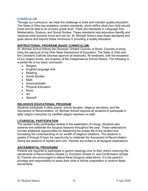#### **CURRICULUM**

Through our curriculum, we meet the challenge to build and maintain quality education. The State of Ohio has academic content standards, which define what your child should know and be able to do at every grade level. There are standards in Language Arts, Mathematics, Science, and Social Studies. These standards help educators identify and measure what students know and can do. St. Michael School uses these standards and goes above and beyond these minimums in providing a quality education.

#### **INSTRUCTIONAL PROGRAM (BASIC CURRICULUM)**

St. Michael School follows the Diocesan Graded Courses of Study. Courses of study have the approval of the Ohio State Department of Education. The State of Ohio and the Cleveland Catholic Diocese approve all textbooks. All textbooks, with the exception of our religion books, are property of the Independence School District. The following is a partial list of our basic curriculum:

- Religion
- English/Language Arts
- Reading
- Social Studies
- Math
- Science/Health
- Physical Education
- Music
- Art
- Spanish

# **RELIGIOUS EDUCATIONAL PROGRAM**

Students participate in daily prayer, school liturgies, religious devotions, and the Sacrament of Reconciliation. St. Michael School requires all students to participate in daily religion instruction by certified religion teachers on staff.

#### **LITURGICAL PARTICIPATION**

The student body participates weekly in the celebration of Liturgy. Students also observe and celebrate the liturgical seasons throughout the year. These celebrations provide additional opportunities for deepening the prayer life of the student and increasing the understanding of our wealth of religious traditions. The students in grades 2 through 8 have the opportunity to celebrate the Sacrament of Reconciliation during the seasons of Advent and Lent. Parents are invited to all liturgical celebrations.

#### **SACRAMENTAL PROGRAMS**

Parents are required to participate in parent meetings prior to their child's receiving the sacraments of Reconciliation (Grade 2), Eucharist (Grade 2), and Confirmation (Grade 8). Parents are encouraged to attend these liturgical celebrations. It is the parent's privilege and responsibility to assist their child in his/her preparation to receive these sacraments.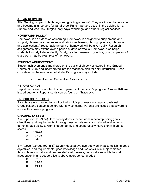#### **ALTAR SERVERS**

Altar Serving is open to both boys and girls in grades 4-8. They are invited to be trained and become altar servers for St. Michael Parish. Servers assist in the celebration at Sunday and weekday liturgies, holy days, weddings, and other liturgical services.

#### **HOMEWORK POLICY**

Homework is an extension of learning. Homework is designed to supplement, and support, classroom experiences and reinforces learning through practice, integration, and application. A reasonable amount of homework will be given daily. Research assignments may extend over a period of days or weeks. Homework also helps students to study independently. Study, reading, research, practice, or a completion of class work may be examples of homework.

#### **STUDENT ACHIEVEMENT**

Student achievement is monitored on the basis of objectives stated in the Graded Course of Study and incorporated into the teacher's plan for daily instruction. Areas considered in the evaluation of student's progress may include:

• Formative and Summative Assessments

#### **REPORT CARDS**

Report cards are distributed to inform parents of their child's progress. Grades K-8 are issued quarterly. Reports cards can be found on Gradelock.

#### **PROGRESS REPORTS**

Parents are encouraged to monitor their child's progress on a regular basis using Gradelock and contact teachers with any concerns. Parents are issued a password to access this on-line program.

#### **GRADING SYSTEM**

A = Superior (100-93%) Consistently does superior work in accomplishing goals, objectives, and requirements; thoroughness in daily work and related assignments; demonstrates ability to work independently and cooperatively; consistently high test scores

| A+ | 100-98 |
|----|--------|
| A  | 97-95  |
| А- | 94-93  |

B = Above Average (92-85%) Usually does above average work in accomplishing goals, objectives, and requirements; good knowledge and use of skills in subject matter; thoroughness in daily work and related assignments; demonstrates ability to work independently and cooperatively; above average test grades

- B+ 92-90
- B 89-87
- B- 86-85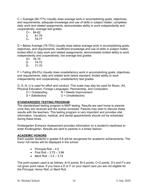C = Average (84-77%) Usually does average work in accomplishing goals, objectives, and requirements; adequate knowledge and use of skills in subject matter; completes daily work and related assignments; demonstrates ability to work independently and cooperatively; average test grades

- C+ 84-82 C 81-79
- C- 78-77

D = Below Average (76-70%) Usually does below average work in accomplishing goals, objectives, and requirements; insufficient knowledge and use of skills in subject matter; limited effort in daily work and related assignments; demonstrates limited ability to work independently and cooperatively; low average test grades

D+ 76-75 D 74-72 D- 71-70

F = Failing (69-0%) Usually does unsatisfactory work in accomplishing goals, objectives, and requirements; daily and related work below standard; limited ability to work independently and cooperatively; unsatisfactory test grades

O, S, N, U is used for effort and conduct. This scale may also be used for Music, Art, Physical Education, Foreign Languages, Penmanship, and Computers.

 $O =$  Outstanding  $N =$  Needs Improvement S = Satisfactory U = Unsatisfactory

# **STANDARDIZED TESTING PROGRAM**

The standardized testing program is MAP testing. Results are sent home to parents once they are received and the scores reviewed. Parents may wish to discuss these results with the teachers. This testing program is very important and provides vital information. Vacations, medical, and dental appointments should not be scheduled during these times.

Kindergarten Entrance Assessment provides information on a student's readiness to enter Kindergarten. Results are sent to parents in a timely fashion.

# **ACADEMIC HONORS**

Each quarter students in grades 5-8 will be recognized for academic achievements. The honor roll names will be displayed in the school.

- Principal Roll  $-4.0$
- First Roll  $-3.75 3.99$
- Merit Roll  $-3.5 3.74$

The point system used is as follows: A=4 points; B=3 points; C=2 points. D's and F's are not given point value. If you have a D or F on your report card you are not eligible for the Principal, Honor Roll, or Merit Roll.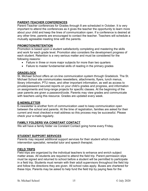# **PARENT-TEACHER CONFERENCES**

Parent-Teacher conferences for Grades through 8 are scheduled in October. It is very important to attend the conferences as it gives the teacher the opportunity to learn more about your child and keep the lines of communication open. If a conference is desired at any other time, parents are encouraged to contact the teacher. Teachers will schedule a mutually agreeable meeting time with the parents.

# **PROMOTION/RETENTION**

Promotion is based upon a student satisfactorily completing and mastering the skills and work for each grade level. Promotion also considers the development progress of each student. Retention is a very serious matter and must be considered for the following reasons:

- Failure in three or more major subjects for more than two quarters
- Failure to master fundamental skills of reading in the primary grades

# **GRADELOCK**

St. Michael School offers an on-line communication system through Gradelock. The St. Michael School site communicates newsletters, attachments, flyers, lunch menus, library information, PTU news, and other important information, as well as access to private/password secured reports on your child's grades and progress, and information on assignments and long-range projects for specific classes. At the beginning of the year parents are given a password/code. Parents may view grades and communicate with teachers using this resource. Grades are updated every week.

# **E-NEWSLETTER**

E-newsletter is another form of communication used to keep communication open between the school and parents. At the time of registration, families are asked for their current and most checked e-mail address so this process may be successful. Please check your e-mails regularly.

# **FAMILY FOLDERS VIA CONSTANT CONTACT**

We will have a family folder via Constant Contact going home every Friday.

# **STUDENT SUPPORT SERVICES**

Parents may request additional support services for their student which includes intervention specialist, remedial tutor and speech therapist.

# **FIELD TRIPS**

Field trips are organized by the individual teachers to enhance and enrich subject matter areas. All students are required to attend the field trip. Parent permission slips must be signed and returned to school before a student will be permitted to participate in a field trip. Students must remain with their adult supervisors throughout the field trip and follow the directions they are given. All school rules apply. Buses are chartered for these trips. Parents may be asked to help fund the field trip by paying fees for the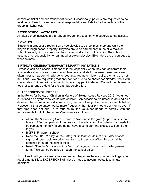admission ticket and bus transportation fee. Occasionally, parents are requested to act as drivers. Parent drivers assume all responsibility and liability for the welfare of the group in his/her car.

# **AFTER SCHOOL ACTIVITIES**

All after school activities are arranged through the teacher who supervises the activity.

# **BICYCLES**

Students in grades 2 through 8 who ride bicycles to school must stop and walk the bicycle through school property. Bicycles are to be parked only in the bike racks on school property. All bicycles must be chained and locked to the racks. The school assumes no responsibility for damaged or stolen bicycles. Bike riders are encouraged to wear helmets.

# **BIRTHDAY CELEBRATIONS/PARTIES/PARTY INVITATIONS**

Birthdays can be a special time for children, especially when they can celebrate their special day at school with classmates, teachers, and staff. Because these treats are often messy, may contain allergens (peanuts, tree nuts, gluten, dairy, etc.) and are not nutritious…we are requesting that only non-food items be shared for birthday treats with classmates. Children with summer birthdays may participate too. Contact the classroom teacher to arrange a date for the birthday celebration.

#### **CHAPERONES/VOLUNTEERS**

In the Policy for Safety of Children in Matters of Sexual Abuse Revised 2016, "Volunteer" is defined as anyone who works with children. An occasional volunteer is defined as a driver or chaperone on an individual activity and is not subject to the requirements below. However, if that volunteer works more frequently than four (4) hours per month, even if that time does not add up to four hours, the volunteer needs to comply with the requirements for **ALL** chaperones/volunteers as follows:

- Attend the *"Protecting God's Children"* Awareness Program (approximately three hours). After completion of the program, there is an on-line bulletin that needs to be complete monthly. If you do not have a computer, the diocese will send them to you.
- BCI/FBI Fingerprint check
- Read the 2016 *"Policy for the Safety of Children in Matters of Sexual Abuse",* sign, and return acknowledgement form to the school office. This can all be obtained through the school office.
- Read *"Standards of Conduct for Ministry".* sign, and return acknowledgement form. This can be obtained through the school office.

Do not wait until you are ready to volunteer or chaperone before you decide to get your requirements filled. **EXCEPTIONS** will not be made to accommodate last minute decisions.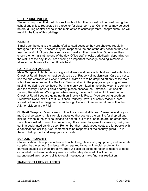#### **CELL PHONE POLICY**

Students may bring their cell phones to school, but they should not be used during the school day unless requested by a teacher for classroom use. Cell phones may be used before, during or after school in the main office to contact parents. Inappropriate use will result in the loss of this privilege.

#### **E-MAILS**

E-mails can be sent to the teachers/office staff because they are checked regularly throughout the day. Teachers may not respond to the end of the day because they are teaching and might only check e-mails on breaks if they have time. Otherwise, they check their e-mails at the end of the day. Office staff checks periodically, depending on the status of the day. If you are sending an important message needing immediate attention, a phone call to the office is best.

#### **PARKING LOT ACCESS**

**Main Campus:** In both the morning and afternoon, drivers with children must enter from Chestnut Road. Students must be picked up at Rappe Hall at dismissal. Cars are not to use the bus entrance on Second Street. Children are to be dropped off only at the main school entrance nearest the Rectory. Cars must avoid the playground parking lot area at all times during school hours. Parking is only permitted in the lot between the convent and the rectory. For your child's safety, please observe the Entrance, Exit, and No Parking Regulations. We suggest when leaving the school parking lot to exit out to Chestnut Road if you are going north on Brecksville Road. If you are going south on Brecksville Road, exit out of Blue-Ribbon Parkway Drive. For safety reasons, cars should not enter the playground area through Second Street either at drop-off in the A.M. or pick-up in the P.M.

**St. Basil Campus:** Parents are to follow the arrows at all times. Please drive slowly (5 mph) and be patient. It is strongly suggested that you use the car line for drop off and pick up. When in the car line, please do not pull out of the line to go around other cars. Parents are asked to keep the line moving. If you need to speak to someone, park your car in a designated parking spot. Remember that handicapped spots are for people with a handicapped car tag. Also, remember to be respectful of the security guard. He is there to help protect and keep your child safe.

#### **SCHOOL PROPERTY**

Students should take pride in their school building, classroom, equipment, and materials supplied by the school. Students will be required to make financial restitution for damage caused to school property. They will also be asked to repair or restore to good order what has been carelessly used or deliberately defaced. It will be the parent/guardian's responsibility to repair, replace, or make financial restitution.

# **TRANSPORTATION CHANGES**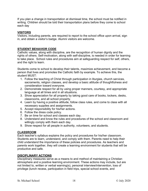If you plan a change in transportation at dismissal time, the school must be notified in writing. Children should be told their transportation plans before they come to school each day

#### **VISITORS**

Visitors, including parents, are required to report to the school office upon arrival, sign in, and obtain a visitor's badge. Alumni visitors are welcome.

# **STUDENT BEHAVIOR CODE**

Catholic values, along with discipline, are the recognition of human dignity and the rights of others. Self-motivation, along with self-discipline, is needed in order for learning to take place. School rules and procedures aim at safeguarding respect for self, others, and the right to learn.

Students come to school to develop their talents, maximize achievement, and become a person that lives and promotes the Catholic faith by example. To achieve this, the student MUST:

- 1. Follow the teaching of Christ through participation in liturgies, church services, sacraments, religion classes, and develop a basic attitude of thoughtfulness and consideration toward everyone.
- 2. Demonstrate respect for all by using proper manners, courtesy, and appropriate language at all times and in all situations.
- 3. Show appreciation for all property by taking good care of books, lockers, desks, classrooms, and all school property.
- 4. Learn by having a positive attitude, follow class rules, and come to class with all necessary supplies and assignments.
- 5. Accept responsibility for his/her actions.
- 6. Follow the dress code policy.
- 7. Be on time for school and classes each day.
- 8. Understand and know the rules and procedures of the school and classroom and willingly comply with them each day.
- 9. Show respect for all people in authority, volunteers, and students.

#### **CLASSROOM**

Each teacher's syllabus explains the policy and procedures for his/her classroom. Students are to learn, understand, and comply with them. Parents need to help their child understand the importance of these policies and procedures. As teachers and parents work together, they will create a learning environment for students that will be productive and safe.

#### **DISCIPLINARY ACTIONS**

Disciplinary measures serve as a means to and method of maintaining a Christian atmosphere and a positive learning environment. These actions may include, but are not limited to, written or verbal warning(s), personal interview/intervention, loss of privilege (lunch recess, participation in field trips, special school events, and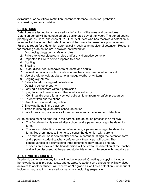extracurricular activities), restitution, parent conference, detention, probation, suspension, and or expulsion.

# **DETENTIONS**

Detentions are issued for a more serious infraction of the rules and procedures. Detention period will be conducted on a designated day of the week. The period begins promptly at 2:35 P.M. and ends at 3:15 P.M. A student who has received a detention is to serve it at the scheduled detention period. No one is to presume a postponement. Failure to report for a detention automatically receives an additional detention. Reasons for receiving a detention are, however, not limited to:

- 1. Disobeying playground/cafeteria rules
- 2. Failure to follow classroom rules and/or any disruptive behavior
- 3. Repeated failure to come prepared to class
- 4. Fighting
- 5. Stealing
- 6. Rude, discourteous behavior to students and adults
- 7. Defiant behavior insubordination to teachers, any personnel, or parent
- 8. Use of profane, vulgar, obscene language (verbal or written)
- 9. Forging signatures
- 10.Failure to return a signed detention form
- 11.Defacing school property
- 12.Leaving a classroom without permission
- 13.Lying to school personnel or other adults in authority
- 14. Continual disregard for any school policies, lunchroom, or safety procedures
- 15. Three written bus violations
- 16.Use of cell phones during school,
- 17.Throwing items in the classroom
- 18.Three tardies equal an after-school detention
- 19.Late to switching of classes three tardies equal an after-school detention

All detentions must be emailed to the parent. The detention process is as follows:

- The first detention is served after school, and a parent must sign the detention form.
- The second detention is served after school, a parent must sign the detention form. Teachers must call home to discuss the detention with parents.
- The third detention is served after school, a parent must sign the detention form, and a parent-student-teacher conference with principal will occur. The consequences of accumulating three detentions may equal a one-day suspension. However, the final decision will be left to the discretion of the teacher and will be discussed at the parent-student-teacher conference with the principal.

# **ACADEMIC DISHONESTY**

Academic dishonesty in any form will not be tolerated. Cheating or copying includes homework, special projects, tests, and quizzes. A student who cheats or willingly gives answers to another student will receive an "F" grade as well as a detention. Subsequent incidents may result in more serious sanctions including suspension.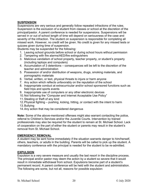# **SUSPENSION**

Suspensions are very serious and generally follow repeated infractions of the rules. Suspension is the exclusion of a student from classes or school at the discretion of the principal/pastor. A parent conference is needed for suspensions. Suspensions will be served in or out of school length of time will depend on seriousness of the case and severity of the infraction. The student on suspension is responsible for completing all missed work. However, no credit will be given. No credit is given for any missed tests or quizzes given during time of suspension.

Students may be suspended for the following:

- 1. Leaving school grounds before school or during school hours without permission
- 2. Tampering with fire alarms/AED/fire extinguishers
- 3. Malicious vandalism of school property, teacher property, or student's property (including laptops and computers)
- 4. Accumulation of 3 detentions consequences will be left to the discretion of the teacher and administration
- 5. Possession of and/or distribution of weapons, drugs, smoking materials, and pornographic materials
- 6. Verbal, written, or text, physical threats to injure or harm anyone
- 7. Any action which reflects unfavorably on the reputation of the school
- 8. Inappropriate conduct at extracurricular and/or school sponsored functions such as field trips and sports events
- 9. Inappropriate use of computers or any other electronic devices
- 10.Not following the "Computer and Internet Acceptable Use Policy"
- 11.Stealing or theft of any kind
- 12.Physical fighting pushing, kicking, hitting, or contact with the intent to harm
- 13.Bullying
- 14.Any action that may be considered dangerous

**Note:** Some of the above-mentioned offenses might also warrant contacting the police, referral to Children's Services and/or the Juvenile Courts. Intervention by trained professionals may also be required for the student to remain at St. Michael School. Lack of cooperation on the part of either the student or parents may result in the student's removal from St. Michael School.

#### **EMERGENCY REMOVAL**

A student may be sent home immediately if the situation warrants danger to him/herself, others, teachers, or adults in the building. Parents will be called to pick up the student. A mandatory conference with the principal is needed for the student to be re-admitted.

# **EXPULSION**

Expulsion is a very severe measure and usually the last resort in the discipline process. The principal and/or pastor may deem the action by a student so severe that it would result in immediate withdrawal from school. Expulsions become part of a student's permanent record. A parent conference will be held with the student and administration. The following are some, but not all, reasons for possible expulsion: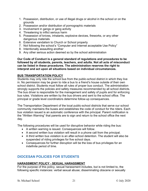- 1. Possession, distribution, or use of illegal drugs or alcohol in the school or on the grounds
- 2. Possession and/or distribution of pornographic materials
- 3. Involvement in gangs or gang activity
- 4. Threatening to inflict serious harm
- 5. Possession of knives, inhalants, explosive devices, fireworks, or any other dangerous materials
- 6. Extensive vandalism to Church or School property
- 7. Not following the school's "Computer and Internet acceptable Use Policy"
- 8. Intentionally assaulting another
- 9. Any other serious action deemed so by the school administration

**Our Code of Conduct is a general standard of regulations and procedures to be followed by all students, parents, teachers, and adults. Not all acts of misconduct can be listed in these procedures. The administration reserves the right to interpret and act upon all situations based on individual circumstances.**

#### **BUS TRANSPORTATION POLICY**

Students may only ride the school bus from the public-school district in which they live in. No permission may be given to ride a bus to a friend's house outside of their own school district. Students must follow all rules of proper bus conduct. The administration strongly supports the policies and safety measures recommended by all school districts. The bus driver is responsible for the management and safety of pupils and for enforcing bus rules. Violations are written by the bus drivers and sent to the school office. The principal or grade level coordinators determine follow-up consequences.

The Transportation Department of the local public-school districts that serve our school community maintains the buses and establishes the code of conduct for the riders. Each bus violation issued is an automatic conference with the principal. Parent notification is the "Written Warning" that parents are to sign and return to the school office the next day.

The following procedures will be used for disruptive behavior while riding the bus:

- A written warning is issued. Consequences will follow.
- A second written bus violation will result in a phone call from the principal.
- A third written bus violation is an after-school detention. The student will also be suspended of riding privileges for five school days.
- Consequences for further disruption will be the loss of bus privileges for an indefinite period of time.

# **DIOCESAN POLICIES FOR STUDENTS**

# **HARASSMENT POLICY - SEXUAL HARASSMENT**

For the purpose of this policy, sexual harassment includes, but is not limited to, the following specific instances: verbal sexual abuse; disseminating obscene or sexually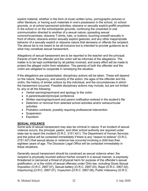explicit material, whether in the form of music written lyrics, pornographic pictures or other literature, or having such materials in one's possession in the school, on school grounds, or at school sponsored activities; obscene or sexually explicit graffiti anywhere in the school or on the school/parish grounds, continuing the unwanted or oral communication directed to another of a sexual nature; spreading sexual rumors/innuendoes; obscene T-shirts, hats, or buttons; touching oneself sexually in front of others; obscene and/or sexually explicit gestures; and any other inappropriate behavior of a sexually explicit or obscene nature that demeans or offends the recipient. The above list is not meant to be all-inclusive but is intended to provide guidance as to what may constitute sexual harassment.

Allegations of sexual harassment are to be reported to the teacher and the principal. Parents of both the offender and the victim will be informed of the allegations. The matter is to be kept confidential by all parties involved, and every effort will be made to protect the alleged victim from retaliation. The parents of both the offender and the victim are obligated to cooperate in remedying the situation.

If the allegations are substantiated, disciplinary actions will be taken. These will depend on the nature, frequency, and severity of the action, the ages of the offender and the victim, the history of similar actions by this individual, and the circumstances in which the harassment occurred. Possible disciplinary actions may include, but are not limited to, any or all the following:

- Verbal warning/reprimand and apology to the victim
- A parent/student/principal conference
- Written warning/reprimand and parent notification entered in the student's file
- Detention or removal from selected school activities and/or extracurricular activities
- Probation contracts, possibly requiring professional intervention
- Suspension
- Expulsion

# **SEXUAL VIOLENCE**

Some acts of sexual harassment may also be criminal in nature. If an incident of sexual violence occurs, the principal, pastor, and other school authority are required under state law to report the incident (O.R.C. 2151.421). The Department of Human Services and the police will be contacted immediately if there is any "reason to believe" (O.R.C. 2151.421) that sexual abuse or violence has occurred involving a child less than eighteen years of age. The Diocesan Legal Office will be contacted immediately in these situations.

Generally sexual harassment should be construed as sexual violence when: the recipient is physically touched without his/her consent in a sexual manner; is expressly threatened or perceived a threat of physical harm for purpose of the offender's sexual gratification; or is the victim of sexual offenses under Ohio law, including Gross Sexual Imposition (O.R.C. 2907.07), Sexual battery (O.R.C. 2907.03), Rape (O.R.C. 2907.02), Importuning (O.R.C. 2907.07), Voyeurism (O.R.C. 2907.08), Public Indecency (O.R.C.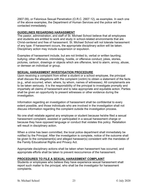2907.09), or Felonious Sexual Penetration (O.R.C. 2907.12), as examples. In each one of the above examples, the Department of Human Services and the police will be contacted immediately.

# **GUIDELINES REGARDING HARASSMENT**

The pastor, administration, and staff of St. Michael School believe that all employees and students are entitled to work and study in school-related environments that are Christ-centered and free of harassment. St. Michael School will not tolerate harassment of any type. If harassment occurs, the appropriate disciplinary action will be taken. Disciplinary action may include suspension or expulsion.

Examples of harassment include, but are not limited to, verbal or written taunting; bullying; other offensive, intimidating, hostile, or offensive conduct; jokes, stories, pictures, cartoon, drawings or objects which are offensive, tend to alarm, annoy, abuse, or demean an individual or group.

# **SEXUAL HARASSMENT INVESTIGATION PROCEDURE**

Upon receiving a complaint from either a student or a school employee, the principal shall discuss the allegations with the complaint (victim) to obtain a statement of the facts (e.g., what occurred, when, where, by whom, names of witnesses). All complainants are to be taken seriously. It is the responsibility of the principal to investigate promptly and impartially all claims of harassment and to take appropriate and equitable action. Parties shall be given an opportunity to present witnesses or other evidence during the investigation.

Information regarding an investigation of harassment shall be confidential to every extent possible, and those individuals who are involved in the investigation shall not discuss information regarding the complaint outside the investigation process.

No one shall retaliate against any employee or student because he/she filed a sexual harassment complaint, assisted or participated in a sexual harassment charge or because they have opposed language or conduct that violates this policy. Retaliation will result in disciplinary action.

When a crime has been committed, the local police department shall immediately be notified by the Principal. After the investigation is complete, notice of the outcome shall be given to the complainant(s) and alleged harasser(s) consistent with the mandates of the Family Educational Rights and Privacy Act.

Appropriate disciplinary actions shall be taken when harassment has occurred, and appropriate efforts shall be taken to prevent reoccurrence of the harassment.

# **PROCEDURES TO FILE A SEXUAL HARASSMENT COMPLAINT**

Students or employees who believe they have experience sexual harassment shall report such matter to the principal, who shall be the investigator for harassment complaints.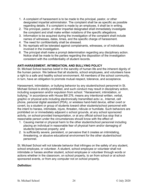- 1. A complaint of harassment is to be made to the principal, pastor, or other designated impartial administrator. The complaint shall be as specific as possible regarding details. If a complaint is made by an employee, it shall be in writing.
- 2. The principal, pastor, or other impartial designated shall immediately investigate the complaint and shall make written notations of the specific allegations.
- 3. Information to be acquired during the investigation of the complaint shall include names of witnesses, dates, times, and the specific charge of harassment.
- 4. The need for confidentiality shall be stressed.
- 5. No reprisals will be tolerated against complainants, witnesses, or of individuals involved in the investigation.
- 6. The principal shall make a prompt determination regarding any disciplinary action. Notice shall be made to the parties regarding the disposition of the investigation consistent with the confidentiality of student records.

# **ANTI-HARASSMENT, INTIMIDATION, AND BULLYING POLICY**

St. Michael School teaches belief in the sanctity of human life and the inherent dignity of the human person. We believe that all students, school employees, and volunteers have a right to a safe and healthy school environment. All members of the school community, in turn, have an obligation to promote mutual respect, tolerance, and acceptance.

Harassment, intimidation, or bullying behavior by any student/school personnel in St. Michael School is strictly prohibited, and such conduct may result in disciplinary action, including suspension and/or expulsion from school. "Harassment, intimidation, or bullying," in accordance with House Bill 276, means any intentional written, verbal, graphic or physical acts including electronically transmitted acts i.e., Internet, cell phone, personal digital assistant (PDA), or wireless hand-held device, either overt or covert, by a student or group of students toward other students/school personnel with the intent to harass, intimidate, injure, threaten, ridicule or humiliate. Such behaviors are prohibited on or immediately adjacent o school grounds, at any school sponsored activity, on school-provided transportation, or at any official school bus stop that a reasonable person under the circumstances should know with the effect of:

- 1. Causing mental or physical harm to the other student/school personnel including placing an individual in reasonable fear of physical harm and/or damaging of students'/personal property; and
- 2. Is sufficiently severe, persistent, or pervasive that it creates an intimidating, threatening, or abusive educational environment for the other student/school personnel.

St. Michael School will not tolerate behavior that infringes on the safety of any student, school employee, or volunteer. A student, school employee or volunteer shall not intimidate or harass another student, school employee or volunteer through words or actions whether in the classroom, on school property, to an from school or at schoolsponsored events, or from any computer not on school property.

# *Definition:*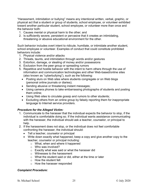"Harassment, intimidation or bullying" means any intentional written, verbal, graphic, or physical act that a student or group of students, school employee, or volunteer exhibited toward another particular student, school employee, or volunteer more than once and the behavior both:

- 1. Causes mental or physical harm to the other; and
- 2. Is sufficiently severe, persistent or pervasive that it creates an intimidating, threatening or abusive educational environment for the other.

Such behavior includes overt intent to ridicule, humiliate, or intimidate another student, school employee or volunteer. Examples of conduct that could constitute prohibited behaviors include:

- 1. Physical violence and/or attacks
- 2. Threats, taunts, and intimidation through words and/or gestures
- 3. Extortion, damage, or stealing of money and/or possessions
- 4. Exclusion from the peer group or spreading rumors
- 5. Repetitive and hostile behavior with the intent to harm others through the use of information and communication technologies and other Web-based/online sites (also known as "cyberbullying"), such as the following:
	- Posting slurs on Web sites where students congregate or on Web blogs (personal online journals or diaries);
	- Sending abusive or threatening instant messages;
	- Using camera phones to take embarrassing photographs of students and posting them online;
	- Using Web sites to circulate gossip and rumors to other students;
	- Excluding others from an online group by falsely reporting them for inappropriate language to Internet service providers.

# *Procedure for the Alleged Victim:*

- 1. Communicate to the harasser that the individual expects the behavior to stop, if the individual is comfortable doing so. If the individual wants assistance communicating with the harasser, the individual should ask a teacher, counselor, or principal to help.
- 2. If the harassment does not stop, or the individual does not feel comfortable confronting the harasser, the individual should:
	- Tell a teacher, counselor or principal
	- Write down exactly what happened, keep a copy and give another copy to the teacher, counselor or principal including:
		- o What, when and where it happened
		- o Who was involved?
		- o Exactly what was said or what the harasser did
		- o Witnesses to the harassment
		- o What the student said or did, either at the time or later
		- o How the student felt
		- o How the harasser responded

#### *Complaint Procedure:*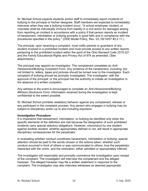St. Michael School expects students and/or staff to immediately report incidents of bullying to the principal or his/her designee. Staff members are expected to immediately intervene when they see a bullying incident occur. "A school employee, student, or volunteer shall be individually immune from liability in a civil action for damages arising from reporting an incident in accordance with a policy if that person reports an incident of harassment, intimidation or bullying promptly in good faith and in compliance with the procedures specified in the policy." (ODE Model Policy, Rev. 03, 05/14/07 #2.2.11.)

The principal, upon receiving a complaint, must notify parents or guardians of any student involved in a prohibited incident and must provide access to any written reports pertaining to the prohibited incident within the spirit of the Ohio Revised Code 3319.321 and the Family Educational Rights and Privacy Act of 974 as amended. (See attachments.)

The principal may appoint an investigator. The complainant completes an *Anti-Harassment/Bullying Complaint Form*. Any evidence of the harassment, including, but not limited to, letters, tapes and pictures should be turned over to the investigator. Each complaint of bullying should be promptly investigated. The investigator, with the approval of the principal, or the principal has the authority to initiate an investigation in the absence of a written complaint.

Any witness to the event is encouraged to complete an *Anti-Harassment/Bullying Witness Disclosure Form.* Information received during the investigation is kept confidential to the extent possible.

St. Michael School prohibits retaliatory behavior against any complainant, witness or any participant in the complaint process. Any person who engages in bullying may be subject to disciplinary action up to and including expulsion.

#### *Investigation Procedure:*

It is imperative that harassment, intimidation, or bullying be identified only when the specific elements of the definition are met because the designation of such prohibited incidents carry special statutory obligations. However, misconduct by one student against another student, whether appropriately defined or not, will result in appropriate disciplinary consequences for the perpetrator.

In evaluating whether conduct constitutes harassment, intimidation or bullying, special attention should be paid to the words chosen or the actions taken, whether such conduct occurred in front of others or was communicated to others, how the perpetrator interacted with the victim, and the motivation, either admitted or appropriately inferred.

The investigator will reasonably and promptly commence the investigation upon receipt of the complaint. The investigator will interview the complainant and the alleged harasser. The alleged harasser may file a written statement in response to the complaint. The investigator may also interview witnesses as deemed appropriate.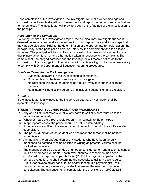Upon completion of the investigation, the investigator will make written findings and conclusions as to each allegation of harassment and report the findings and conclusions to the principal. The investigator will provide a copy of the findings of the investigation to the principal.

# *Resolution of the Complaint:*

Following receipt of the investigator's report, the principal may investigate further, if deemed necessary, and make a determination of any appropriate additional steps that may include discipline. Prior to the determination of the appropriate remedial action, the principal may, at the principal's discretion, interview the complainant and the alleged harasser. The principal will file a written report closing the case and documenting any disciplinary action taken or any other action taken in response to the complaint. The complainant, the alleged harasser and the investigator will receive notice as to the conclusion of the investigation. The principal will maintain a log of information necessary to comply with Ohio Department of Education reporting procedures.

#### *Points to Remember in the Investigation:*

- Evidence uncovered in the investigation is confidential.
- Complaints must be taken seriously and investigated.
- No retaliation will be taken against individuals involved in the investigation process.
- Retaliators will be disciplined up to and including suspension and expulsion.

#### *Conflicts:*

If the investigator is a witness to the incident, an alternate investigator shall be appointed to investigate.

# **STUDENT THREAT/BULLYING POLICY AND PROCEDURES**

- 1. Any and all student threats to inflict any harm to self or others must be taken seriously immediately.
- 2. Whoever hears the threat should report it immediately to the principal.
- 3. In appropriate cases, the police should be notified immediately.
- 4. If the police are notified, the student should be kept in the principal's office under supervision.
- 5. The parent/guardian of the student who has made the threat shall be notified immediately.
- 6. Any adult or the parent/guardian of any students who have been verbally mentioned as potential victims or listed in writing as potential victims shall be notified immediately.
- 7. The student should be suspended and not be considered for readmission to school until a comprehensive mental health evaluation/risk assessment has been conducted by a psychiatrist/psychologist (Ph.D.) If a psychiatrist performs the primary evaluation, he shall determine the necessity to utilize a psychologist (Ph.D.) for psychological consultation and/or testing. If a psychologist (Ph.D.) performs the primary evaluation, he shall determine the need for psychiatric consultation. The evaluation shall comply with the provisions of ORC 205.51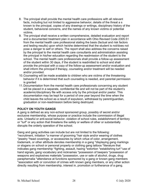- 8. The principal shall provide the mental health care professions with all relevant facts, including but not limited to aggressive behavior, details of the threat a s known to the principal, copies of any drawings or writings, disciplinary history of the student, behavioral concerns, and the names of any known victims or potential victims.
- 9. The principal shall receive a written comprehensive, detailed evaluation and report and a documented treatment plan in accordance with Ohio Revised Code 2305.51 from the mental health care professional stating the basis (factual and risk factors and testing results) upon which he/she determined that the student is not/does not pose a danger to self or others. The report shall also address the concerns raised by the principal to the mental health care consultants and administration assisting the principal in his/her education regarding the readmission of the student to the school. The mental health care professionals shall provide a follow-up assessment of the student within 30 days, if the student is readmitted to school and shall provide the principal with a copy of the follow-up assessment and/or evaluation and shall inform the principal if therapy, counseling and/or treatment will be needed and/or provided.
- 10.Counseling will be made available to children who are victims of the threatening behavior if it is determined that such counseling is needed, and parental permission is granted
- 11.Documentation from the mental health care professionals concerning any student will be placed in a separate, confidential file and will not be part of the student's academic/disciplinary file with access only by the principal and/or pastor. This documentation may be kept for a period of one year beyond the time when the child leaves the school as a result of expulsion, withdrawal by parent/guardian, graduation or non-readmission before being destroyed.

# **POLICY ON YOUTH GANGS**

A gang is defined as any non-school sponsored group, possibly of secret and/or exclusive membership, whose purpose or practice include the commission of illegal acts. Unlawful or anti-social behavior, violation of school rules, establishment of territory or "turf" or any action that threatens the safety or welfare of other or substantially disrupts the orderly operation of the school.

Gang and gang activities can include but are not limited to the following: \*recruitment, initiation \*a manner of grooming \*hair style and/or wearing of clothes \*jewelry \*head coverings, or accessories by which virtue of color, arrangement, trademark, or other attribute denotes membership in a gang \*displaying gang markings or slogans on school or personal property or clothing gang tattoos \*literature that indicates gang membership \*fighting, assault, hazing \*extortion \*establishing turf \*use of hand signals, gang vocabulary and nicknames \*possession of beepers \*possession of weapons and explosives materials \*possession, use or sale of alcohol, drugs, drug paraphernalia \*attendance at functions sponsored by a gang or known gang members \*association with or conviction of crimes with known gang members, or any other action directly resulting from membership, interest in, promotion or furtherance of a gang.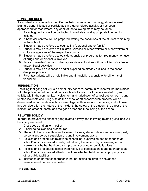# **CONSEQUENCES**

If a student is suspected or identified as being a member of a gang, shows interest in joining a gang, initiates or participates in a gang related activity, or has been approached for recruitment, any or all of the following steps may be taken:

- 1. Parents/guardians will be contacted immediately, and appropriate intervention initiated.
- 2. A behavior contract will be prepared stating the conditions of the student remaining in the school.
- 3. Students may be referred to counseling (personal and/or family)
- 4. Students may be referred to Children Services or other welfare or other welfare or childcare agencies of the respective county.
- 5. Students may be referred to outside agencies or programs for treatment when use of drugs and/or alcohol is involved.
- 6. Police, Juvenile Court and other appropriate authorities will be notified of violence and/or illegal activities.
- 7. Students may be suspended and/or expelled as already outlined in the school discipline policies.
- 8. Parents/students will be held liable and financially responsible for all forms of vandalism.

# **JURISDICTION**

Realizing that gang activity is a community concern, communications will be maintained with the police department and public-school officials on all matters related to gang activity within the community. Involvement and jurisdiction of school authorities in gang related incidents occurring outside the school or off school/parish property will be determined in cooperation with diocesan legal authorities and the police, and will take into consideration the nature of the incident, the safety of the student, the effect of the incident on other students, and the good order and functioning of the school.

# **RELATED POLICY**

In order to prevent the onset of gang related activity, the following related guidelines will be strictly enforced:

- 1. Dress code and uniform policy
- 2. Discipline policies and procedures
- 3. The right of school authorities to search lockers, student desks and upon request, personal property, if suspicion of gang involvement exists
- 4. Policies and procedures relative to scheduling, supervision and attendance at school/parish sponsored events, held during the school day, in evening or on weekends, whether held on parish property or at other public facilities
- 5. Policies and procedures established relative to participation in and attendance at school/parish sponsored athletic functions whether held on parish property or at other public facilities
- 6. Insistence on parent cooperation in not permitting children to host/attend unsupervised parties or activities

# **PREVENTION**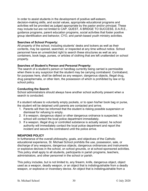In order to assist students in the development of positive self-esteem, decision-making skills, and social values, appropriate educational programs and activities will be provided as judged appropriate by the pastor and/or principal. These may include but are not limited to CAP, QUEST, A BRIDGE TO SUCCESS, D.A.R.E., guidance programs, parent education programs, social activities that foster positive group identification and behavior, CYO, and parish-based youth ministry activities.

#### **Searches of School Property:**

All property of the school, including students' desks and lockers as well as their contents, may be opened, searched, or inspected at any time without notice. School personnel have an unrestricted right to search these structures as well as any containers, book bags, purses, or articles of clothing that are left unattended on school property.

#### **Searches of Student's Person and Personal Property:**

The search of a student's person or handbag currently being carried is permissible when there is any suspicion that the student may be carrying contraband. Contraband, for purposes here, shall be defined as any weapon, dangerous objects, illegal drug, drug paraphernalia, or other item, the possession of which is prohibited by law or by school policy.

#### **Conducting the Search**

School administrators should always have another school authority present when a search is conducted.

If a student refuses to voluntarily empty pockets, or to open his/her book bag or purse, the student will be detained until parents are contacted and arrive.

- 1. Parents will then be informed that the student is risking possible suspension or dismissal for refusing to empty.
- 2. If a weapon, dangerous object or other dangerous ordnance is suspected, he school will contact the local police department immediately.
- 3. If a weapon, illegal drug or controlled substance is actually seized, he school authority will immediately contact the local police department and report the incident and secure the contraband until the police arrive.

# **WEAPONS POLICY**

In furtherance of the overall philosophy, goals, and objectives of the Catholic educational experience, St. Michael School prohibits the use, possession, sale, or discharge of any weapons, dangerous objects, dangerous ordinances and instruments or explosive devices in the school, on school grounds, or at school-sponsored activities. This policy shall apply to all students, participants in parish programs, teachers, administrators, and other personnel in the school or parish.

This policy includes, but is not limited to, any firearm, knife, dangerous object, object used as a weapon, deadly weapon, or an object that is indistinguishable from a deadly weapon, or explosive or incendiary device. An object that is indistinguishable from a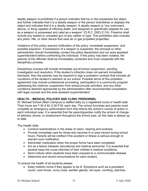deadly weapon is prohibited if a person indicates that he or she possesses the object and further indicates that it is a deadly weapon or the person brandishes or displays the object and indicates that it is a deadly weapon. A deadly weapon is "any instrument, device, or thing capable of inflicting death, and designed or specifically adapted for use as a weapon or possessed and used as a weapon" (O.R.C. 2923.211A). Firearms shall include any loaded or unloaded gun of any caliber or type. This prohibition also includes any pistol, rifle, or other device that uses air or gas propelled projectiles.

Violations of this policy warrant notification of the policy, immediate suspension, and possible expulsion. If possession of a weapon is suspected, the principal or other administrator should immediately contact the police department and our area assistant superintendent before confronting the individual. If this policy has been violated, the parents of the offender shall be immediately contacted and must cooperate with the disciplinary process.

Disciplinary process will include immediate out-of-school suspension, pending investigation and resolution. If the student's infraction does not warrant immediate dismissal, then the parents may be required to sign a probation contract that includes all conditions of the student's retention at our school. Possible terms of this probation agreement may include professional counseling, participation in a community program addressing the violence, suspension from extracurricular activities, and any other conditions deemed appropriate by the administration after recommended consultation with legal counsel and the area assistant superintendent.

# **HEALTH – MEDICAL POLICIES AND CLINIC PERSONNEL**

St. Michael School (Main Campus) is staffed daily by a registered nurse or health aide. Their hours are 7:30 A.M.-2:30 P.M. each day. The school furnishes and parents must complete an emergency authorization form that directs the school's course of action in each individual case. It is essential that the parent/guardian notify the school of change of address, phone, or employment throughout the school year, so this data is always up to date.

The Health Aide:

- Conduct examinations in the areas of vision, hearing and scoliosis.
- Provide immediate care for those who become ill or area injured during school hours. Parents will be notified if the accident or illness is serious enough to warrant such notification.
- Administer medication when the proper forms have been completed.
- Act as a liaison between educational and medical personnel. It is essential that parents keep the nurse informed of their children's medical conditions.
- Send notices when students have been exposed to a communicable disease.
- Determine and record immunizations for each student.

To ensure the health of all students please:

• Keep children home if they appear to be ill. Symptoms such as a persistent couch, sore throat, runny nose, swollen glands, red eyes, vomiting, diarrhea,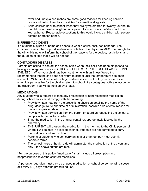fever and unexplained rashes are some good reasons for keeping children home and taking them to a physician for a medical diagnosis.

• Send children back to school when they are symptom free for twenty-four hours. If a child is not well enough to participate fully in activities, he/she should be kept at home. Reasonable exceptions to this would include children with severe asthma or broken bones.

# **INJURIES/ACCIDENTS**

If a student is injured at home and needs to wear a splint, cast, ace bandage, use crutches, or any other supportive device, a note from the physician MUST be brought to the clinic. His note will inform the school of the reasons for the device, restrictions, and the duration of time that it will be needed.

# **CONTAGIOUS DISEASES**

Parents are asked to contact the school office when their child has been diagnosed as having a contagious condition. (THIS INCLUDES STREP THROAT, HEAD LICE, PINK EYE, ETC.). When your child has been sent home with an illness/fever, it is recommended that he/she does not return to school until the temperature has been normal for 24 hours. In case of contagious diseases, consult with your doctor as to when it is permissible for the child to return to school. If a contagious outbreak occurs in the classroom, you will be notified by a letter.

#### **MEDICATIONS\***

Any student who is required to take any prescription or nonprescription medication during school hours must comply with the following:

- Provide written note from the prescribing physician detailing the name of the drug, dosage, route and time of administration, possible side effects, reason for use and expiration date of order.
- Provide written permission from the parent or guardian requesting the school to comply with the doctor's order.
- Bring the medication in the original container, appropriately labeled by the pharmacy.
- THE PARENT will present the medication in the morning to the Clinic personnel where it will be kept in a locked cabinet. Students are not permitted to carry medication to and from school.
- Parents of students who self-carry an inhaler or an epi-pen must submit separate forms.
- The school nurse or health aide will administer the medication at the given time only if the above criteria are met.

\*For the purpose of this policy, "medication" shall include all prescription and nonprescription (over the counter) medicines.

\*A parent or guardian must pick up unused medication or school personnel will dispose of it thirty (30) days after the prescribed use.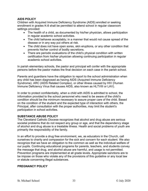# **AIDS POLICY**

Children with Acquired Immune Deficiency Syndrome (AIDS) enrolled or seeking enrollment in grades K-8 shall be permitted to attend school in regular classroom settings provided:

- The health of a child, as documented by his/her physician, allows participation in regular academic school activities.
- The child behaves acceptably; in a manner that would not cause spread of the disease or in any way put others at risk.
- The child does not have open sores, skin eruptions, or any other condition that prevents his/her control of bodily secretions.
- There are periodic evaluations of the child's physical condition with written certification from his/her physician allowing continuing participation in regular academic school activities.

In parish elementary schools, the pastor and principal will confer with the appropriate persons before the pastor makes the final decision on each case in the parish school.

Parents and guardians have the obligation to report to the school administration when any child has been diagnosed as having AIDS (Acquired Immune Deficiency Syndrome). ARC (AIDS Related Complex), or other illness caused by HIV (Human Immune Deficiency Virus that causes AIDS, also known as HLTVIII or LAV).

In order to protect confidentiality, when a child with AIDS is admitted to school, the information provided to the school personnel who need to be aware of the child's condition should be the minimum necessary to assure proper care of the child. Based on the condition of the student and the expected type of interaction with others, the Principal, after consultation with the proper authorities, may limit the student's participation in school activities.

# **SUBSTANCE ABUSE POLICY**

The Cleveland Catholic Diocese recognizes that alcohol and drug abuse are serious societal problems that do not respect any group or age, and that the dependency stage of alcohol and drug abuse is a treatable illness. Health and social problems of youth are primarily the responsibility of the family.

In an effort to provide a drug free environment, we, as educators in the Church, call ourselves to charity and compassion for the sick and concern for each student. We also recognize that we have an obligation to the common as well as the individual welfare of our pupils. Continuing educational programs for parents, teachers, and students convey the message that drug, and alcohol abuse are harmful, and usage is not permitted. Prevention programs are implemented at all grade levels. Appropriate sanctions are to be impose on those who violate any of the provisions of this guideline or any local law or statute concerning illegal substances.

# **PREGNANCY POLICY**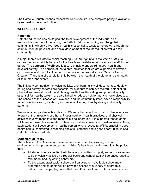The Catholic Church teaches respect for all human life. The complete policy is available by request in the school office.

#### **WELLNESS POLICY**

#### **Rationale**

Catholic education has as its goal the total development of the individual as a responsible member of the family, the Catholic faith community, and the global community in which we live. Good health is essential to wholesome growth through the spiritual, mental, physical, and social development of the individual as well a s the community.

A major theme of Catholic social teaching, *Human Dignity and the Value of All Life*, carries the responsibility to care for the health and well-being of not only oneself, but of others. The **concept of wellness** is a core principle undergirding both health and physical activity. The parable of the talents indicates that we are expected to develop our potential and our gifts. Another of the justice themes calls us to Care for God's Creation. There is a direct relationship between the health of the planet and the health of its human inhabitants.

The link between nutrition, physical activity, and learning is well documented. Healthy eating and activity patterns are essential for students to achieve their full potential, full physical and mental growth, and lifelong health. Healthy eating and physical activity, essential for healthy weight, are also linked to reduced risk for many chronic diseases. The schools of the Diocese of Cleveland, and the community itself, have a responsibility to help students learn, establish, and maintain lifelong, healthy eating and activity patterns.

Wellness is compatible with limitations. We must be patient with our own limitations and tolerant of the limitations of others. Proper nutrition, health practices, and physical activities involve respectful and responsible collaboration. It is expected that students will learn to make choices related to health and fitness based on Christian values. Thus, each student will develop as "a healthy person who is respectful of life, practicing good health habits, committed to reaching one's full potential and a good sport." (Profile of a Catholic School Graduate)

#### **Statement of Policy**

The schools of the Diocese of Cleveland are committed to providing school environments that promote and protect children's health and well-being. It is the policy that:

- All students in grades K-12 will have opportunities, support, and encouragement to be physically active on a regular basis and school staff will be encouraged to role model healthy eating behaviors.
- To the extent practicable, schools will participate in available school meal programs and students will be provided access to a variety of affordable, nutritious and appealing foods that meet their health and nutrition needs, while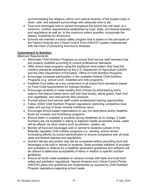accommodating the religious, ethnic and cultural diversity of the student body in clean, safe, and pleasant surroundings with adequate time to eat.

- Food and beverages sold or served throughout the school day will meet, at a minimum, nutrition requirements established by local, state, and federal statutes and regulations as well as, to the maximum extent possible, incorporate the Dietary Guidelines for Americans.
- Schools will maintain a school safety program that is based on the principals of the Hazard Analysis and Critical Control Point (HACCP) system implemented with the intent of preventing food-borne illnesses.

# **Commitment to Nutrition**

# *Minimum Requirements:*

- Administer Child Nutrition Programs by school food service staff members that are properly qualified according to current professional standards.
- Offer school meal programs using the traditional meal pattern that meet the nutrition standards established by the U.S. Department of Agriculture (USDA) and the Ohio Department of Education, Office of Child Nutrition Programs.
- Encourage increased participation in the available Federal Child Nutrition Programs (e.g. school lunch, breakfast and milk programs).
- Establish food safety as a key component of all school food operations based on Food Code requirements for licensed facilities.
- Encourage students to make healthy food choices by emphasizing menu options that feature baked items (will limit fried foods), whole grains, fresh fruit and vegetables, and reduced-fat dairy products.
- Provide school food service staff routine professional training opportunities.
- Follow USDA Child Nutrition Program regulations restricting competitive food sales and serving of foods minimal nutritional value.
- Encourage school-based organizations to use non-food items and/or healthful foods for contests and fundraising programs.
- Ensure water is available to students during mealtimes at no charge. If water fountains are not available in eating or adjacent readily accessible areas, water will be offered via other means such as pitchers, coolers, etc.
- Monitor all food and beverages sold or served to students outside of the federally regulated child nutrition programs (i.e. vending, school stores, fundraising efforts) by school administration to ensure compliance with all local, state and federal statutes and regulations.
- Nutrient density and portion size will be considered before permitting food and beverages to be sold or served to students. State provided software (if provided and available) or Alliance for a healthier generation guidelines and software will be utilized to determine acceptability of items in relation to specific nutrition guidelines.
- Ensure all foods made available on campus comply with state and local food safety and sanitation regulations. Hazard Analysis and Critical Control Points (HACCP) plans and guidelines are implemented as required by Child Nutrition Program regulations regarding school meals.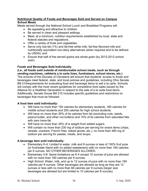# **Nutritional Quality of Foods and Beverages Sold and Served on Campus School Meals**

Meals served through the National School Lunch and Breakfast Programs will:

- Be appealing and attractive to children.
- Be served in clean and pleasant settings.
- Meet, at a minimum, nutrition requirements established by local, state and federal statutes and regulations.
- Offer a variety of fruits and vegetables.
- Serve only low-fat (1%) and fat-free white milk, fat-free flavored milk and nutritionally equivalent non-dairy alternatives (when required and to be defined by USDA); and
- Ensure that half of the served grains are whole grain (by 2012-2013 school year).

# **Foods and Beverages Sold Individually**

**(i.e., all foods sold outside of reimbursable school meals, such as through vending machines, cafeteria a la carte lines, fundraisers, school stores, etc.)** The schools of the Diocese of Cleveland will ensure that students' access to foods and beverages meet federal, state, and local policies and guidelines, including Ohio Senate Bill 210requirements for evaluating food and beverage items to sell a la carte. Schools will comply with the most recent guidelines for competitive food sales issued by the Alliance for a Healthier Generation in respect to the sale of a la carte food items. Additionally, Senate House Bill 210 includes specific guidelines and restrictions on beverages that must be followed.

# **A food item sold individually:**

- Will have no more than 150 calories for elementary students, 180 calories for middle school students and 200 calories for high school students.
- Will have no more than 35% of its calories from fat (excluding nuts, seeds, peanut butter, and other nut butters) and 10% of its calories from saturated fats with zero trans-fat.
- Will have no more than 35% of is weight from added sugars.
- Will contain no more than 230 mg of sodium per serving for snack items (chips, cereals, crackers, French fries, baked goods, etc.), no more than 480 mg of sodium per serving for pastas, meats, and soups.

# **A beverage item sold individually:**

- Elementary K-4: Limited to water, milk and 8 ounces or less of 100% fruit juice (or fruit/water blend with no added sweeteners) with no more than 160 calories per 6 ounces. NO OTHER BEVERAGES ALLOWED.
- Elementary 5-8: Same limitations as K-4 except 10 ounces of juice are allowed with no more than 160 calories per 8 ounces.
- High School: Water, milk, and up to 12 ounces of juice with no more than 160 calories per 8 ounces. Other beverages are allowed as long as they are 12 ounces or less with no more than 66 calories per 8 ounces (larger size beverages are allowed but are limited to 10 calories per 8 ounces).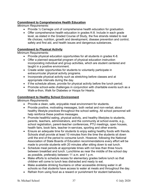# **Commitment to Comprehensive Health Education**

*Minimum Requirements:*

- Provide 1/2 Carnegie unit of comprehensive health education for graduation.
- Offer comprehensive health education in grades K-8. Include in each grade level, as stated in the Graded Course of Study, the five strands related to real life choices; nutrition, growth and development, disease prevention and control, safety and first aid, and health issues and dangerous substances.

# **Commitment to Physical Activity**

Minimum Requirements:

- Provide physical education opportunities for all students in grades K-8.
- Offer a planned sequential program of physical education instruction incorporating individual and group activities, which are student centered and taught in a positive environment.
- Create wider opportunities for students to voluntarily participate in extracurricular physical activity programs.
- Incorporate physical activity such as stretching before classes and at appropriate intervals during the day.
- If the schedule allows, provide for physical activity before the lunch period.
- Promote school-wide challenges in conjunction with charitable events such as a Walk-a-thon, Walk for Diabetes or Hoops for Hearts.

# **Commitment to Healthy School Environment**

*Minimum Requirements:*

- Provide a clean, safe, enjoyable meal environment for students.
- Provide positive, motivating messages, both verbal and non-verbal, about healthy lifestyle practices throughout the school setting. All school personnel will help reinforce these positive messages.
- Promote healthful eating, physical activity, and healthy lifestyles to students, parents, teachers, administrators, and the community at school events, e.g., school registration, parent-teacher conferences, PTU meetings, open houses, health fairs, book fairs, teacher in-services, sporting and other events.
- Ensure an adequate time for students to enjoy eating healthy foods with friends. Schools shall provide at least 10 minutes from the time the students sit down until the end of the period to consume lunch. However, following the National Association of State Boards of Education recommendations every effort will be made to provide students with 20 minutes after sitting down to eat lunch.
- Schedule meal periods at appropriate times with not less than three hours between breakfast and lunch. Lunchtime as near the middle of the school day as possible, preferably between 11 a.m. and 1 p.m.
- Make efforts to schedule recess for elementary grades before lunch so that children will come to lunch less distracted and ready to eat.
- Make available drinking fountains or other accessible drinking water in all schools so that students have access to water at meals and throughout the day.
- Refrain from using food as a reward or punishment for student behaviors.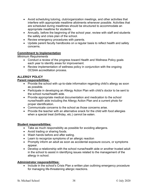- Avoid scheduling tutoring, club/organization meetings, and other activities that interfere with appropriate mealtime allotments whenever possible. Activities that are scheduled during mealtimes should be structured to accommodate an appropriate mealtime for students.
- Annually, before the beginning of the school year, review with staff and students the safety and crisis plan of the school.
- Review emergency procedures with parents.
- Update parent faculty handbooks on a regular basis to reflect health and safety concerns.

# **Commitment to Implementation**

*Minimum Requirements*

- Conduct a review of the progress toward Health and Wellness Policy goals each year to identify areas for improvement.
- Review implementation of wellness policy in conjunction with the ongoing OCSAA accreditation process.

# **ALLERGY POLICY**

#### **Parent responsibilities:**

- Provide the school with up-to-date information regarding child's allergy as soon as possible.
- Participate in developing an Allergy Action Plan with child's doctor to be sent to the school nurse/health aide.
- Provide appropriate medical documentation and medication to the school nurse/health aide including the Allergy Action Plan and a current photo for proper identification.
- Communicate concerns to the school as those concerns arise.
- Provide the teacher with an alternative snack for the child with food allergies when a special treat (birthday, etc.) cannot be eaten.

#### **Student responsibilities:**

- Take as much responsibility as possible for avoiding allergens.
- Avoid trading or sharing foods.
- Wash hands before and after eating.
- Learn to recognize symptoms of an allergic reaction
- Promptly inform an adult as soon as accidental exposure occurs, or symptoms appear.
- Develop a relationship with the school nurse/health aide or another trusted adult in the school to assist in identifying issues related to the management of the allergy in school.

# **Administrator responsibilities:**

• Include in the school's Crisis Plan a written plan outlining emergency procedure for managing life-threatening allergic reactions.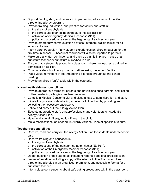- Support faculty, staff, and parents in implementing all aspects of the lifethreatening allergy program.
- Provide training, education, and practice for faculty and staff in:
	- a. the signs of anaphylaxis.
	- b. the correct use of an epinephrine auto-injector (EpiPen).
	- c. activation of emergency Medical Response (911).
	- d. policy and procedure review at the beginning of each school year.
- Provide emergency communication devices (intercom, walkie-talkie) for all school activities.
- Inform parent/guardian if any student experiences an allergic reaction for the first time in school. Subsequent reactions will also be reported to parents.
- Make sure a written contingency and back-up plan is in place in case of a substitute teacher or substitute nurse/health aide.
- Ensure that a student is placed in a classroom where the teacher is trained to administer an EpiPen.
- Communicate school policy to organizations using the school facility.
- Place visual reminders of life-threatening allergies throughout the school building.
- Provide an allergy "safe" table within the cafeteria.

# **Nurse/health aide responsibilities:**

- Provide appropriate forms for parents and physicians once parental notification of life-threatening allergies has been received.
- Compile a Medical Concerns List and disseminate to administration and staff.
- Initiate the process of developing an Allergy Action Plan by providing and collecting the necessary paperwork.
- Follow and carry out the Allergy Action Plan.
- Educate appropriate staff, paraprofessionals and volunteers on student's Allergy Action Plan.
- Have available all Allergy Action Plans in the clinic.
- Make modifications, as needed, in Allergy Actions Plans of specific students.

# **Teacher responsibilities:**

- Receive, read and carry out the Allergy Action Plan for students under teachers' care.
- Receive training and education in:
	- a. the signs of anaphylaxis.
	- b. the correct use of the epinephrine auto-injector (EpiPen).
	- c. activation of the Emergency Medical response (911).
	- d. policy and procedure review at the beginning of each school year.
- Do not question or hesitate to act if student reports signs of allergic reaction.
- Leave information, including a copy of the Allergy Action Plan, about lifethreatening allergies in an organized, prominent, and accessible format for a substitute teacher.
- Inform classroom students about safe eating procedures within the classroom.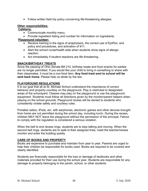• Follow written field trip policy concerning life-threatening allergies.

#### **Other responsibilities:**

#### **Cafeteria:**

- Communicate monthly menu.
- Provide ingredient listing and number for information on ingredients.

# **Playground volunteer:**

- Receive training in the signs of anaphylaxis, the correct use of EpiPen, and policy and procedures, and activation of 911.
- Alert the school nurse/health aide when students show signs of allergic reaction.
- Act immediately if student reactions are life threatening.

# **SNACK/BIRTHDAY TREATS**

Since the passing of Ohio Senate Bill 210, birthday treats and food snacks for parties are no longer permitted. If you would like your child to bring in something to share with their classmates, it must be a non-food item. **Any food treat sent to school will be sent back home.** Please help us abide by the law.

# **PLAYGROUND REGULATIONS**

It is our goal that all at St. Michael School understand the importance of correct behavior and property courtesy on the playground. Play is restricted to designated areas of the schoolyard. Classes may play on the playground or use the playground equipment. Students must follow all directions given by the monitor/parent helpers when playing on the school grounds. Playground recess will be denied to students who consistently violate safety and courtesy rules.

Portable radios, iPods, etc. with earphones, electronic games and other devices brought from home are not permitted during the school day, including lunch. During the recess, children MAY NOT leave the playground without the permission of the principal. Failure to comply with the regulation is considered a serious violation.

When the bell to end recess rings, students are to stop talking and moving. When the second bell rings, students are to walk to their assigned lines, meet the teacher/recess monitor and enter the building quietly.

# **CARE OF BOOKS AND PROPERTY**

Books are expensive to purchase and maintain from year to year. Parents are urged to help their children be responsible for books used. Books are required to be covered and clearly identified.

Students are financially responsible for the loss or damage of textbooks and other materials provided for their use during the school year. Students are responsible for any damage to property belonging to the parish, school, or other students.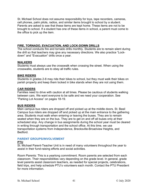St. Michael School does not assume responsibility for toys, tape recorders, cameras, cell phones, palm pilots, radios, and similar items brought to school by a student. Parents are asked to see that these items are kept home. These items are not to be brought to school. If a student has one of these items in school, a parent must come to the office to pick up the item.

# **FIRE, TORNADO, EVACUATION, AND LOCK-DOWN DRILLS**

The school conducts fire and tornado drills monthly. Students are to remain silent during the drill so that teachers may give any necessary directions. We also practice "Lockdown" and "Evacuation" drills once a year.

#### **WALKERS**

Students must always use the crosswalk when crossing the street. When using the crosswalks, students are to obey all traffic rules.

#### **BIKE RIDERS**

Students in grades 2-8 may ride their bikes to school, but they must walk their bikes on parish property and keep them locked in bike stands when they are not using them.

#### **CAR RIDERS**

Families need to drive with caution at all times. Please be cautious of students walking between cars. We want everyone to be safe and we need your cooperation. See "Parking Lot Access" on pages 18-19.

#### **BUS RIDERS**

Main campus bus riders are dropped off and picked up at the middle doors. St. Basil Campus bus riders are dropped off and picked up at the main entrance to the gathering area. Students must walk when entering or leaving the buses. They are to remain seated when they are on the bus. They are to get on and off all buses only at their scheduled stop. Any change in bus assignments during the school year must be cleared in writing through transportation and the school office. At this time, we use transportation systems from Independence, Brecksville-Broadview Heights, and Bedford.

# **PARENT GROUPS/INVOLVEMENT**

#### **PTU**

St. Michael Parent-Teacher Unit is in need of many volunteers throughout the year to assist in their fund-raising efforts and social activities.

Room Parents: This is a yearlong commitment. Room parents are selected from each classroom. Their responsibilities vary depending on the grade level. In general, grade level parents assist classroom teachers, as needed for special projects, celebrations, field trips, and help schedule PTU's volunteers each month. Contact the PTU President for more information.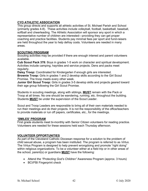# **CYO ATHLETIC ASSOCIATION**

This group directs and supports all athletic activities of St. Michael Parish and School (primarily grades 4-8). These activities include volleyball, football, basketball, baseball, softball and cheerleading. The Athletic Association will sponsor any sport in which a representative number of children are interested—providing they can get proper coaching and practice facilities. Students pay minimal fees per sport and fund-raisers are held throughout the year to help defray costs. Volunteers are needed in many areas.

# **SCOUTING PROGRAM**

Scouting activities may be provided if there are enough interest and parent volunteers available.

**Cub Scout Pack 378:** Boys in grades 1-5 work on character and spiritual development. Activities include camping, hayrides and service projects. Dens and packs meet regularly.

**Daisy Troop:** Coordinated for Kindergarten if enough girls are interested.

**Brownie Troop:** Girls in grades 1 and 2 develop skills according to the Girl Scout Promise. The troop meets every other week.

**Junior Girl Scout Troop:** Girls in grades 3-5 develop skills and projects geared toward their age group following the Girl Scout Promise.

Students in scouting meetings, along with siblings, **MUST** remain with the Pack or Troop at all times. No one should be wandering, running, etc. throughout the building. Students **MUST** be under the supervision of the Scout Leader.

Scout and Troop Leaders are responsible to bring all of their own materials needed to run their meetings and do their projects. It is not the responsibility of the office/teachers to provide materials or run off papers, certificates, etc., for the meetings.

# **'SMILES' PROGRAM**

First grade students meet bi-monthly with Senior Citizen volunteers for reading practice. Volunteers are needed for these sessions held each Thursday afternoon.

# **VOLUNTEER OPPORTUNITIES**

As part of the Cleveland Catholic Diocesan response for a solution to the problem of child sexual abuse, a program has been instituted. The program is referred to as *Virtus.* The Virtus Program is designed to help prevent wrongdoing and promote "right doing" within religious organizations. To be a volunteer either at a field trip or in other areas of the school, parent(s) or guardians **MUST** have the following:

- Attend the *"Protecting God's Children"* Awareness Program (approx. 3 hours)
- BCI/FBI Fingerprint check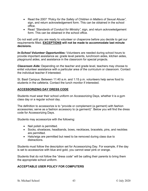- Read the 2007 *"Policy for the Safety of Children in Matters of Sexual Abuse",* sign, and return acknowledgement form. This can be obtained in the school office.
- Read *"Standards of Conduct for Ministry",* sign, and return acknowledgement form. This can be obtained in the school office.

Do not wait until you are ready to volunteer or chaperone before you decide to get our requirements filled. **EXCEPTIONS will not be made to accommodate last minute decisions.**

*In-School Volunteer Opportunities:* Volunteers are needed during school hours to provide important assistance as: grade level parents, lunchroom aides, kitchen aides, playground aides, and assistance in the classroom for special projects.

*Classroom Aide:* Depending on the teacher and grade level, teachers may choose to enlist volunteer assistance with a particular area of the curriculum or classroom. Contact the individual teacher if interested.

St. Basil Campus: Between 11:40 a.m. and 1:15 p.m. volunteers help serve food to students in the cafeteria. Contact the lunch monitor if interested.

# **ACCESSORIZING DAY DRESS CODE**

Students must wear their school uniform on Accessorizing Days, whether it is a gym class day or a regular school day.

The definition to accessorize is to "provide or complement (a garment) with fashion accessories; serve as a fashion accessory to (a garment)". Below you will find the dress code for Accessorizing Days.

Students may accessorize with the following:

- Nail polish is permitted.
- Socks, shoelaces, headbands, bows, necklaces, bracelets, pins, and neckties are permitted.
- Hats/wigs are permitted but need to be removed during class due to distractions.

Students must follow the description set for Accessorizing Day. For example, if the day is set to accessorize with blue and gold, you cannot wear pink or orange.

Students that do not follow the "dress code" will be calling their parents to bring them the appropriate school uniform.

# **ACCEPTABLE USER POLICY FOR COMPUTERS**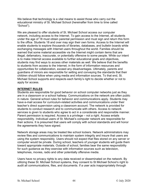We believe that technology is a vital means to assist those who carry out the educational ministry of St. Michael School (hereinafter from time to time called "School").

We are pleased to offer students of St. Michael School access our computer network, including access to the Internet. To gain access to the Internet, all students under the age of 18 must obtain parental permission and must sign and return this form to the office. Students 18 and over may sign their own forms. Access to the Internet will enable students to explore thousands of libraries, databases, and bulletin boards while exchanging messages with Internet users throughout the world. Families should be warned that some material accessible via the Internet might contain items that are illegal, defamatory, inaccurate, or potentially offensive to some people. While our intent is to make Internet access available to further educational goals and objectives, students may find ways to access other materials as well. We believe that the benefits to students from access to the Internet, in the form of information resources and opportunities for collaboration, exceed any disadvantages. Ultimately, parents and guardians of minors are responsible for setting and conveying the standards that their children should follow when using media and information sources. To that end, St. Michael School supports and respects each family's right to decide whether or not to apply for access.

# **INTERNET RULES**

Students are responsible for good behavior on school computer networks just as they are in a classroom or a school hallway. Communications on the network are often public in nature. General school rules for behavior and communications apply. Students may have e-mail access for curriculum-related activities and communications under their teacher's direct supervision using a classroom account. The network is provided for students to conduct research and to communicate with others. Access to network services is given to students who agree to act in a considerate and responsible manner. Parent permission is required. Access is a privilege – not a right. Access entails responsibility. Individual users of St. Michael's computer network are responsible for their actions. It is presumed that users will comply with school standards and will honor the agreements they have signed.

Network storage areas may be treated like school lockers. Network administrators may review files and communications to maintain system integrity and insure that users are using the system responsibly. Users should not expect that files stored on any server or computer would be private. During school, teachers of younger students will guide them toward appropriate materials. Outside of school, families bear the same responsibility for such guidance as they exercise with information sources such as television, telephones, movies, radio and other potentially offensive media.

Users have no privacy rights to any data received or disseminated on the network. By utilizing these St. Michael School systems, they consent to St Michael School's right to audit all communications, files, and documents. If a user acts inappropriately through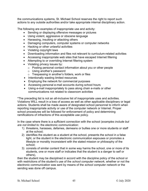the communications systems, St. Michael School reserves the right to report such actions to any outside authorities and/or take appropriate internal disciplinary action.

The following are examples of inappropriate use and activity:

- Sending or displaying offensive messages or pictures
- Using violent, aggressive or obscene language
- Harassing, insulting or attacking others
- Damaging computers, computer systems or computer networks
- Hacking or other unlawful activities
- Violating copyright laws
- Downloading information and files not relevant to curriculum-related activities
- Accessing inappropriate web sites that have escaped Internet filtering
- Attempting to or overriding Internet filtering system
- Violating privacy issues by:
	- o Posting personal contact information about you or other people
	- o Using another's password
	- o Trespassing in another's folders, work or files
- Intentionally wasting limited resources
- Employing the network for commercial purposes
- Accessing personal e-mail accounts during school hours
- Using e-mail inappropriately to pass along chain e-mails or other communications not related to classroom activities

\*The preceding list is not an all-inclusive list of inappropriate uses and activities. Violations WILL result in a loss of access as well as other applicable disciplinary or legal actions. Students shall be made aware of designated school personnel to inform when reporting inappropriate activity or use of the computer network or Internet. Proper school procedures will be followed for enforcement of policy and determining ramifications of infractions of this acceptable use policy.

In the case where there is a sufficient connection with the school (*examples include but are not limited to:* the electronic communication:

- 1) threatens, harasses, defames, demeans or bullies one or more students or staff at the school;
- 2) identifies the student as a student at the school, presents the school in a false light, or the student in the electronic communication espouses or promotes a lifestyle or morality inconsistent with the stated mission or philosophy of the school;
- 3) consists of similar content that in some way harms the school, one or more of its students, one or more staff or indicates that the student is a danger to self or others),

then the student may be disciplined in accord with the discipline policy of the school or with restrictions of the student's use of the *school computer network*, whether or not the electronic communication was sent by means of the *school computer network* or the sending was done off campus.